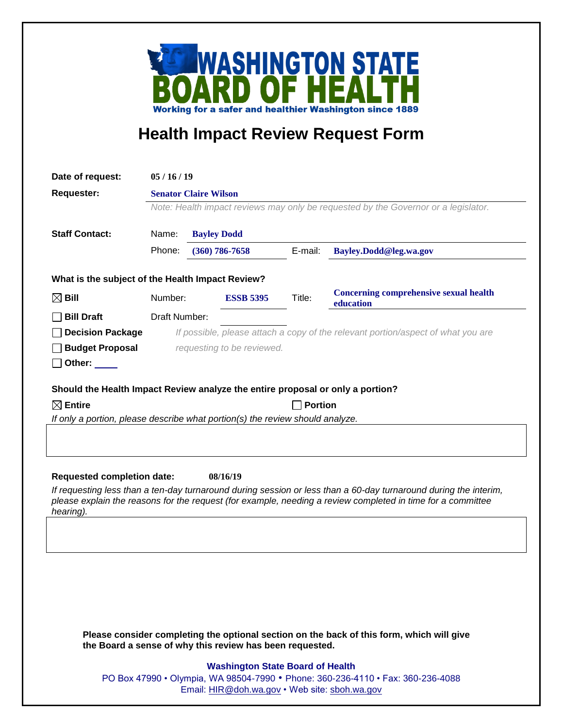

## **Health Impact Review Request Form**

| Date of request:                                                               | 05/16/19                                                                           |  |                                                          |                |                                                                                                                                                                                                                                 |
|--------------------------------------------------------------------------------|------------------------------------------------------------------------------------|--|----------------------------------------------------------|----------------|---------------------------------------------------------------------------------------------------------------------------------------------------------------------------------------------------------------------------------|
| <b>Requester:</b>                                                              | <b>Senator Claire Wilson</b>                                                       |  |                                                          |                |                                                                                                                                                                                                                                 |
|                                                                                | Note: Health impact reviews may only be requested by the Governor or a legislator. |  |                                                          |                |                                                                                                                                                                                                                                 |
| <b>Staff Contact:</b>                                                          | Name:<br><b>Bayley Dodd</b>                                                        |  |                                                          |                |                                                                                                                                                                                                                                 |
|                                                                                | Phone:                                                                             |  | $(360)$ 786-7658                                         | E-mail:        | Bayley.Dodd@leg.wa.gov                                                                                                                                                                                                          |
| What is the subject of the Health Impact Review?                               |                                                                                    |  |                                                          |                |                                                                                                                                                                                                                                 |
|                                                                                | Number:                                                                            |  |                                                          | Title:         | <b>Concerning comprehensive sexual health</b>                                                                                                                                                                                   |
| $\boxtimes$ Bill                                                               |                                                                                    |  | <b>ESSB 5395</b>                                         |                | education                                                                                                                                                                                                                       |
| <b>Bill Draft</b>                                                              | Draft Number:                                                                      |  |                                                          |                |                                                                                                                                                                                                                                 |
| <b>Decision Package</b>                                                        |                                                                                    |  |                                                          |                | If possible, please attach a copy of the relevant portion/aspect of what you are                                                                                                                                                |
| <b>Budget Proposal</b>                                                         |                                                                                    |  | requesting to be reviewed.                               |                |                                                                                                                                                                                                                                 |
| Other:                                                                         |                                                                                    |  |                                                          |                |                                                                                                                                                                                                                                 |
| Should the Health Impact Review analyze the entire proposal or only a portion? |                                                                                    |  |                                                          |                |                                                                                                                                                                                                                                 |
|                                                                                |                                                                                    |  |                                                          | <b>Portion</b> |                                                                                                                                                                                                                                 |
|                                                                                |                                                                                    |  |                                                          |                |                                                                                                                                                                                                                                 |
| $\boxtimes$ Entire                                                             |                                                                                    |  |                                                          |                |                                                                                                                                                                                                                                 |
| If only a portion, please describe what portion(s) the review should analyze.  |                                                                                    |  |                                                          |                |                                                                                                                                                                                                                                 |
|                                                                                |                                                                                    |  |                                                          |                |                                                                                                                                                                                                                                 |
|                                                                                |                                                                                    |  |                                                          |                |                                                                                                                                                                                                                                 |
| <b>Requested completion date:</b>                                              |                                                                                    |  | 08/16/19                                                 |                |                                                                                                                                                                                                                                 |
|                                                                                |                                                                                    |  |                                                          |                | If requesting less than a ten-day turnaround during session or less than a 60-day turnaround during the interim,<br>please explain the reasons for the request (for example, needing a review completed in time for a committee |
| hearing).                                                                      |                                                                                    |  |                                                          |                |                                                                                                                                                                                                                                 |
|                                                                                |                                                                                    |  |                                                          |                |                                                                                                                                                                                                                                 |
|                                                                                |                                                                                    |  |                                                          |                |                                                                                                                                                                                                                                 |
|                                                                                |                                                                                    |  |                                                          |                |                                                                                                                                                                                                                                 |
|                                                                                |                                                                                    |  |                                                          |                |                                                                                                                                                                                                                                 |
|                                                                                |                                                                                    |  |                                                          |                |                                                                                                                                                                                                                                 |
|                                                                                |                                                                                    |  |                                                          |                |                                                                                                                                                                                                                                 |
|                                                                                |                                                                                    |  | the Board a sense of why this review has been requested. |                | Please consider completing the optional section on the back of this form, which will give                                                                                                                                       |
|                                                                                |                                                                                    |  |                                                          |                |                                                                                                                                                                                                                                 |
|                                                                                |                                                                                    |  | <b>Washington State Board of Health</b>                  |                | PO Box 47990 • Olympia, WA 98504-7990 • Phone: 360-236-4110 • Fax: 360-236-4088                                                                                                                                                 |